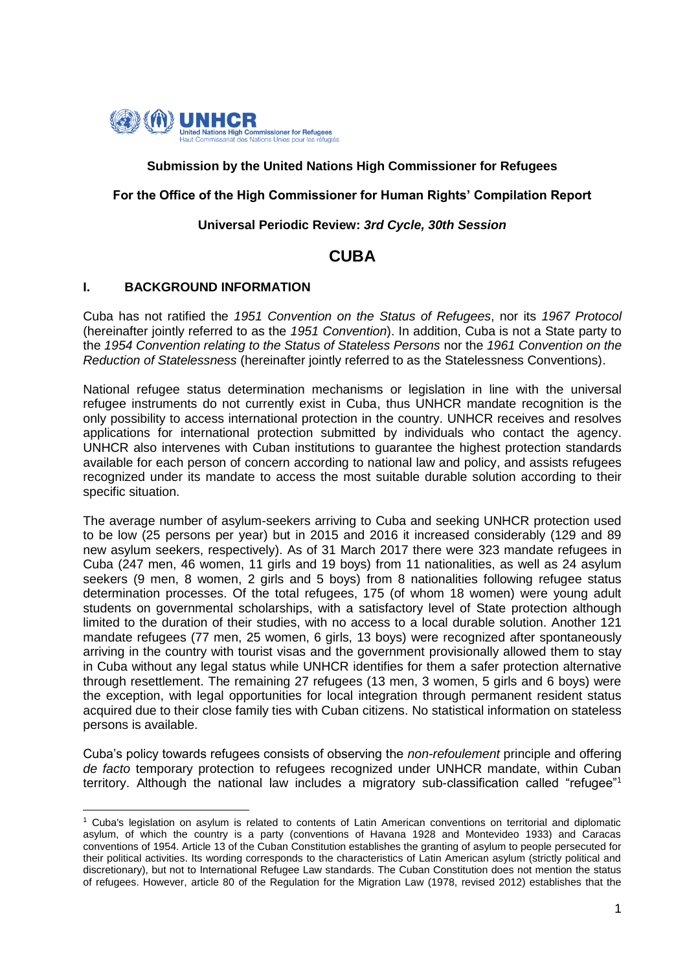

## **Submission by the United Nations High Commissioner for Refugees**

## **For the Office of the High Commissioner for Human Rights' Compilation Report**

## **Universal Periodic Review:** *3rd Cycle, 30th Session*

# **CUBA**

## **I. BACKGROUND INFORMATION**

Cuba has not ratified the *1951 Convention on the Status of Refugees*, nor its *1967 Protocol* (hereinafter jointly referred to as the *1951 Convention*). In addition, Cuba is not a State party to the *1954 Convention relating to the Status of Stateless Persons* nor the *1961 Convention on the Reduction of Statelessness* (hereinafter jointly referred to as the Statelessness Conventions).

National refugee status determination mechanisms or legislation in line with the universal refugee instruments do not currently exist in Cuba, thus UNHCR mandate recognition is the only possibility to access international protection in the country. UNHCR receives and resolves applications for international protection submitted by individuals who contact the agency. UNHCR also intervenes with Cuban institutions to guarantee the highest protection standards available for each person of concern according to national law and policy, and assists refugees recognized under its mandate to access the most suitable durable solution according to their specific situation.

The average number of asylum-seekers arriving to Cuba and seeking UNHCR protection used to be low (25 persons per year) but in 2015 and 2016 it increased considerably (129 and 89 new asylum seekers, respectively). As of 31 March 2017 there were 323 mandate refugees in Cuba (247 men, 46 women, 11 girls and 19 boys) from 11 nationalities, as well as 24 asylum seekers (9 men, 8 women, 2 girls and 5 boys) from 8 nationalities following refugee status determination processes. Of the total refugees, 175 (of whom 18 women) were young adult students on governmental scholarships, with a satisfactory level of State protection although limited to the duration of their studies, with no access to a local durable solution. Another 121 mandate refugees (77 men, 25 women, 6 girls, 13 boys) were recognized after spontaneously arriving in the country with tourist visas and the government provisionally allowed them to stay in Cuba without any legal status while UNHCR identifies for them a safer protection alternative through resettlement. The remaining 27 refugees (13 men, 3 women, 5 girls and 6 boys) were the exception, with legal opportunities for local integration through permanent resident status acquired due to their close family ties with Cuban citizens. No statistical information on stateless persons is available.

Cuba's policy towards refugees consists of observing the *non-refoulement* principle and offering *de facto* temporary protection to refugees recognized under UNHCR mandate, within Cuban territory. Although the national law includes a migratory sub-classification called "refugee"<sup>1</sup>

**<sup>.</sup>** <sup>1</sup> Cuba's legislation on asylum is related to contents of Latin American conventions on territorial and diplomatic asylum, of which the country is a party (conventions of Havana 1928 and Montevideo 1933) and Caracas conventions of 1954. Article 13 of the Cuban Constitution establishes the granting of asylum to people persecuted for their political activities. Its wording corresponds to the characteristics of Latin American asylum (strictly political and discretionary), but not to International Refugee Law standards. The Cuban Constitution does not mention the status of refugees. However, article 80 of the Regulation for the Migration Law (1978, revised 2012) establishes that the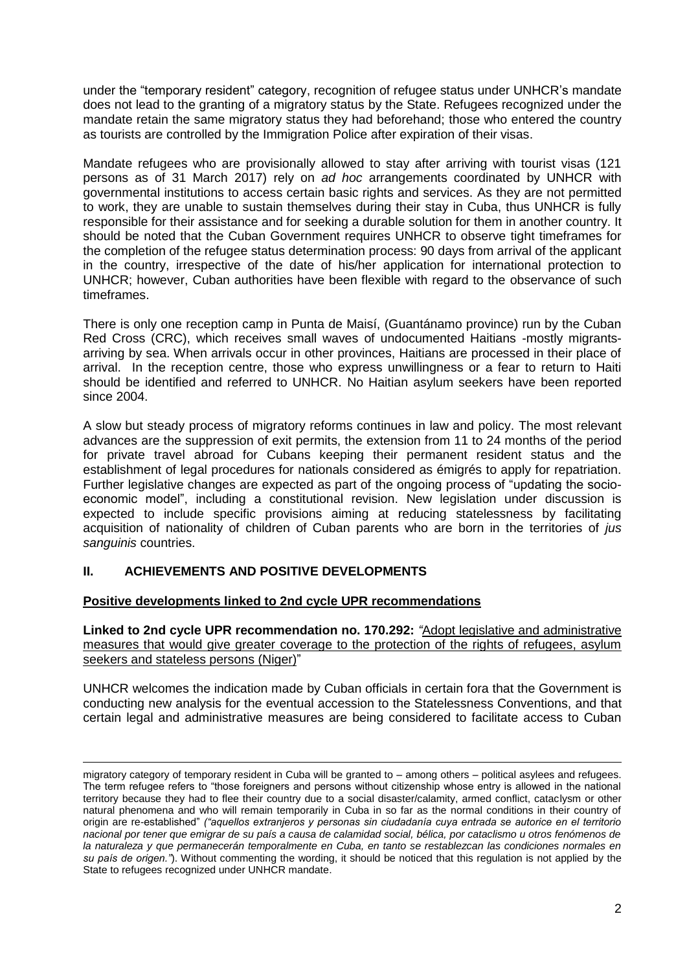under the "temporary resident" category, recognition of refugee status under UNHCR's mandate does not lead to the granting of a migratory status by the State. Refugees recognized under the mandate retain the same migratory status they had beforehand; those who entered the country as tourists are controlled by the Immigration Police after expiration of their visas.

Mandate refugees who are provisionally allowed to stay after arriving with tourist visas (121 persons as of 31 March 2017) rely on *ad hoc* arrangements coordinated by UNHCR with governmental institutions to access certain basic rights and services. As they are not permitted to work, they are unable to sustain themselves during their stay in Cuba, thus UNHCR is fully responsible for their assistance and for seeking a durable solution for them in another country. It should be noted that the Cuban Government requires UNHCR to observe tight timeframes for the completion of the refugee status determination process: 90 days from arrival of the applicant in the country, irrespective of the date of his/her application for international protection to UNHCR; however, Cuban authorities have been flexible with regard to the observance of such timeframes.

There is only one reception camp in Punta de Maisí, (Guantánamo province) run by the Cuban Red Cross (CRC), which receives small waves of undocumented Haitians -mostly migrantsarriving by sea. When arrivals occur in other provinces, Haitians are processed in their place of arrival. In the reception centre, those who express unwillingness or a fear to return to Haiti should be identified and referred to UNHCR. No Haitian asylum seekers have been reported since 2004.

A slow but steady process of migratory reforms continues in law and policy. The most relevant advances are the suppression of exit permits, the extension from 11 to 24 months of the period for private travel abroad for Cubans keeping their permanent resident status and the establishment of legal procedures for nationals considered as émigrés to apply for repatriation. Further legislative changes are expected as part of the ongoing process of "updating the socioeconomic model", including a constitutional revision. New legislation under discussion is expected to include specific provisions aiming at reducing statelessness by facilitating acquisition of nationality of children of Cuban parents who are born in the territories of *jus sanguinis* countries.

## **II. ACHIEVEMENTS AND POSITIVE DEVELOPMENTS**

 $\overline{a}$ 

## **Positive developments linked to 2nd cycle UPR recommendations**

**Linked to 2nd cycle UPR recommendation no. 170.292:** *"*Adopt legislative and administrative measures that would give greater coverage to the protection of the rights of refugees, asylum seekers and stateless persons (Niger)"

UNHCR welcomes the indication made by Cuban officials in certain fora that the Government is conducting new analysis for the eventual accession to the Statelessness Conventions, and that certain legal and administrative measures are being considered to facilitate access to Cuban

migratory category of temporary resident in Cuba will be granted to – among others – political asylees and refugees. The term refugee refers to "those foreigners and persons without citizenship whose entry is allowed in the national territory because they had to flee their country due to a social disaster/calamity, armed conflict, cataclysm or other natural phenomena and who will remain temporarily in Cuba in so far as the normal conditions in their country of origin are re-established" *("aquellos extranjeros y personas sin ciudadanía cuya entrada se autorice en el territorio nacional por tener que emigrar de su país a causa de calamidad social, bélica, por cataclismo u otros fenómenos de la naturaleza y que permanecerán temporalmente en Cuba, en tanto se restablezcan las condiciones normales en su país de origen."*). Without commenting the wording, it should be noticed that this regulation is not applied by the State to refugees recognized under UNHCR mandate.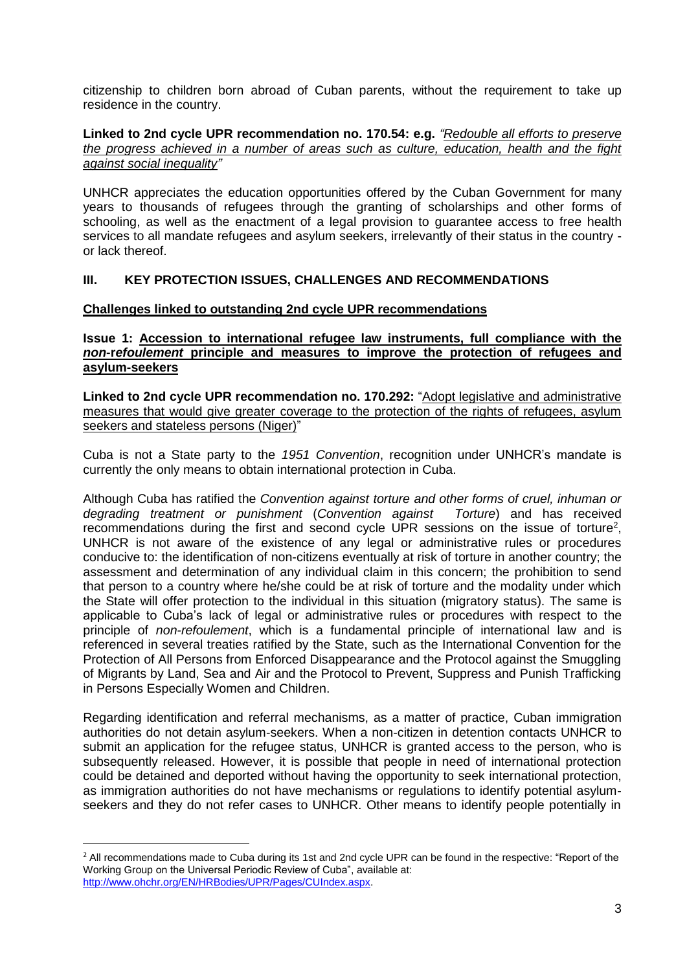citizenship to children born abroad of Cuban parents, without the requirement to take up residence in the country.

### **Linked to 2nd cycle UPR recommendation no. 170.54: e.g.** *"Redouble all efforts to preserve the progress achieved in a number of areas such as culture, education, health and the fight against social inequality"*

UNHCR appreciates the education opportunities offered by the Cuban Government for many years to thousands of refugees through the granting of scholarships and other forms of schooling, as well as the enactment of a legal provision to guarantee access to free health services to all mandate refugees and asylum seekers, irrelevantly of their status in the country or lack thereof.

## **III. KEY PROTECTION ISSUES, CHALLENGES AND RECOMMENDATIONS**

### **Challenges linked to outstanding 2nd cycle UPR recommendations**

## **Issue 1: Accession to international refugee law instruments, full compliance with the**  *non***-r***efoulement* **principle and measures to improve the protection of refugees and asylum-seekers**

**Linked to 2nd cycle UPR recommendation no. 170.292:** "Adopt legislative and administrative measures that would give greater coverage to the protection of the rights of refugees, asylum seekers and stateless persons (Niger)"

Cuba is not a State party to the *1951 Convention*, recognition under UNHCR's mandate is currently the only means to obtain international protection in Cuba.

Although Cuba has ratified the *Convention against torture and other forms of cruel, inhuman or degrading treatment or punishment* (*Convention against Torture*) and has received recommendations during the first and second cycle UPR sessions on the issue of torture<sup>2</sup>, UNHCR is not aware of the existence of any legal or administrative rules or procedures conducive to: the identification of non-citizens eventually at risk of torture in another country; the assessment and determination of any individual claim in this concern; the prohibition to send that person to a country where he/she could be at risk of torture and the modality under which the State will offer protection to the individual in this situation (migratory status). The same is applicable to Cuba's lack of legal or administrative rules or procedures with respect to the principle of *non-refoulement*, which is a fundamental principle of international law and is referenced in several treaties ratified by the State, such as the International Convention for the Protection of All Persons from Enforced Disappearance and the Protocol against the Smuggling of Migrants by Land, Sea and Air and the Protocol to Prevent, Suppress and Punish Trafficking in Persons Especially Women and Children.

Regarding identification and referral mechanisms, as a matter of practice, Cuban immigration authorities do not detain asylum-seekers. When a non-citizen in detention contacts UNHCR to submit an application for the refugee status, UNHCR is granted access to the person, who is subsequently released. However, it is possible that people in need of international protection could be detained and deported without having the opportunity to seek international protection, as immigration authorities do not have mechanisms or regulations to identify potential asylumseekers and they do not refer cases to UNHCR. Other means to identify people potentially in

**.** 

<sup>&</sup>lt;sup>2</sup> All recommendations made to Cuba during its 1st and 2nd cycle UPR can be found in the respective: "Report of the Working Group on the Universal Periodic Review of Cuba", available at: [http://www.ohchr.org/EN/HRBodies/UPR/Pages/CUIndex.aspx.](http://www.ohchr.org/EN/HRBodies/UPR/Pages/CUIndex.aspx)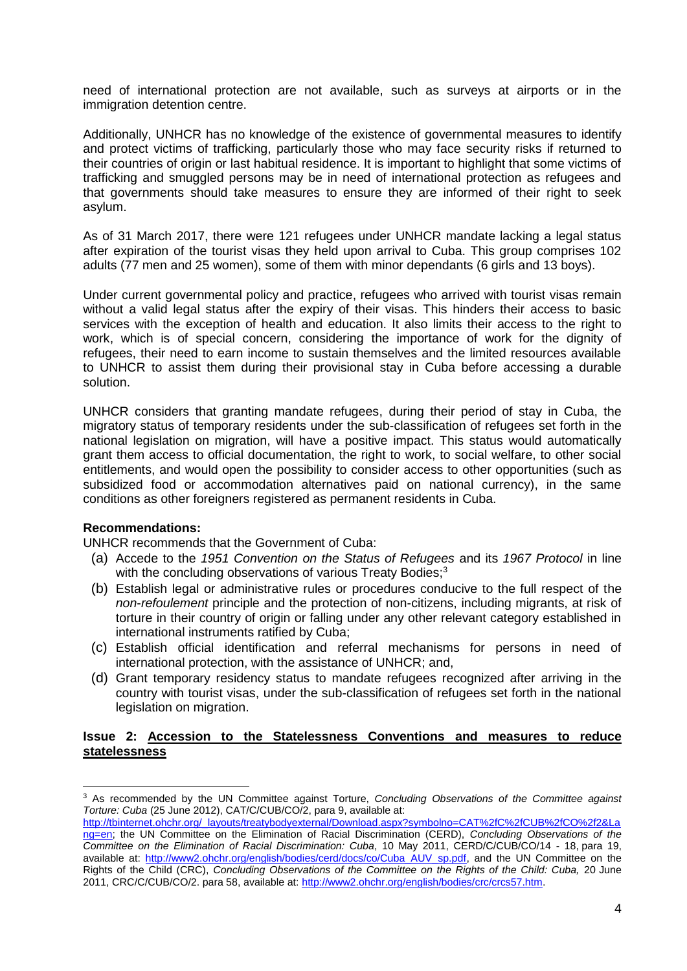need of international protection are not available, such as surveys at airports or in the immigration detention centre.

Additionally, UNHCR has no knowledge of the existence of governmental measures to identify and protect victims of trafficking, particularly those who may face security risks if returned to their countries of origin or last habitual residence. It is important to highlight that some victims of trafficking and smuggled persons may be in need of international protection as refugees and that governments should take measures to ensure they are informed of their right to seek asylum.

As of 31 March 2017, there were 121 refugees under UNHCR mandate lacking a legal status after expiration of the tourist visas they held upon arrival to Cuba. This group comprises 102 adults (77 men and 25 women), some of them with minor dependants (6 girls and 13 boys).

Under current governmental policy and practice, refugees who arrived with tourist visas remain without a valid legal status after the expiry of their visas. This hinders their access to basic services with the exception of health and education. It also limits their access to the right to work, which is of special concern, considering the importance of work for the dignity of refugees, their need to earn income to sustain themselves and the limited resources available to UNHCR to assist them during their provisional stay in Cuba before accessing a durable solution.

UNHCR considers that granting mandate refugees, during their period of stay in Cuba, the migratory status of temporary residents under the sub-classification of refugees set forth in the national legislation on migration, will have a positive impact. This status would automatically grant them access to official documentation, the right to work, to social welfare, to other social entitlements, and would open the possibility to consider access to other opportunities (such as subsidized food or accommodation alternatives paid on national currency), in the same conditions as other foreigners registered as permanent residents in Cuba.

## **Recommendations:**

UNHCR recommends that the Government of Cuba:

- (a) Accede to the *1951 Convention on the Status of Refugees* and its *1967 Protocol* in line with the concluding observations of various Treaty Bodies;<sup>3</sup>
- (b) Establish legal or administrative rules or procedures conducive to the full respect of the *non*-*refoulement* principle and the protection of non-citizens, including migrants, at risk of torture in their country of origin or falling under any other relevant category established in international instruments ratified by Cuba;
- (c) Establish official identification and referral mechanisms for persons in need of international protection, with the assistance of UNHCR; and,
- (d) Grant temporary residency status to mandate refugees recognized after arriving in the country with tourist visas, under the sub-classification of refugees set forth in the national legislation on migration.

## **Issue 2: Accession to the Statelessness Conventions and measures to reduce statelessness**

**<sup>.</sup>** <sup>3</sup> As recommended by the UN Committee against Torture, *Concluding Observations of the Committee against Torture: Cuba* (25 June 2012), CAT/C/CUB/CO/2, para 9, available at:

[http://tbinternet.ohchr.org/\\_layouts/treatybodyexternal/Download.aspx?symbolno=CAT%2fC%2fCUB%2fCO%2f2&La](http://tbinternet.ohchr.org/_layouts/treatybodyexternal/Download.aspx?symbolno=CAT%2fC%2fCUB%2fCO%2f2&Lang=en) [ng=en;](http://tbinternet.ohchr.org/_layouts/treatybodyexternal/Download.aspx?symbolno=CAT%2fC%2fCUB%2fCO%2f2&Lang=en) the UN Committee on the Elimination of Racial Discrimination (CERD), *Concluding Observations of the Committee on the Elimination of Racial Discrimination: Cuba*, 10 May 2011, CERD/C/CUB/CO/14 - 18, para 19, available at: [http://www2.ohchr.org/english/bodies/cerd/docs/co/Cuba\\_AUV\\_sp.pdf,](http://www2.ohchr.org/english/bodies/cerd/docs/co/Cuba_AUV_sp.pdf) and the UN Committee on the Rights of the Child (CRC), *Concluding Observations of the Committee on the Rights of the Child: Cuba,* 20 June 2011, CRC/C/CUB/CO/2. para 58, available at[: http://www2.ohchr.org/english/bodies/crc/crcs57.htm.](http://www2.ohchr.org/english/bodies/crc/crcs57.htm)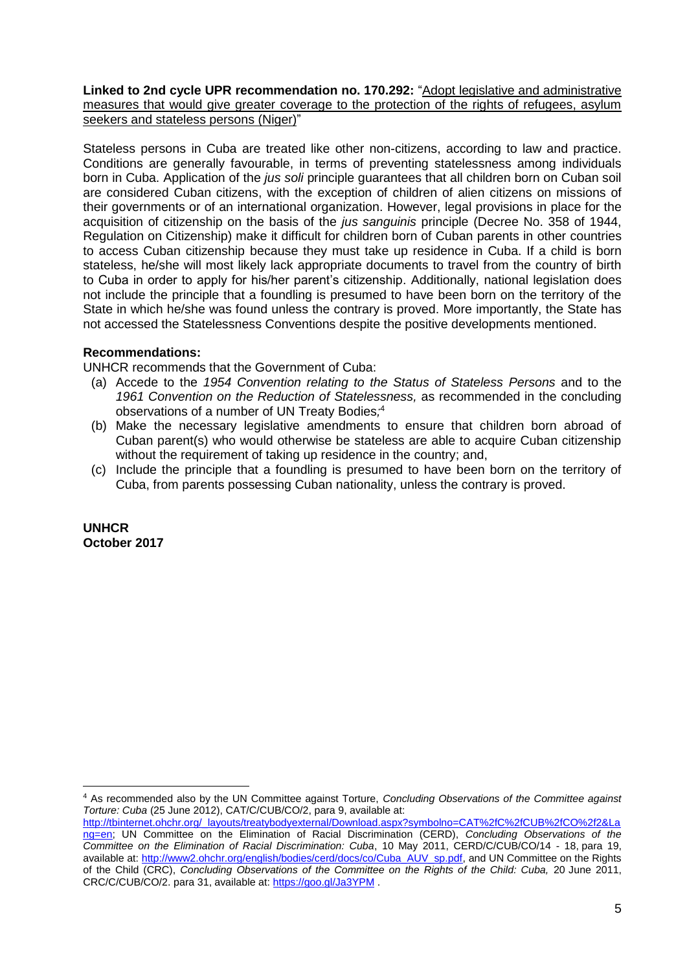**Linked to 2nd cycle UPR recommendation no. 170.292:** "Adopt legislative and administrative measures that would give greater coverage to the protection of the rights of refugees, asylum seekers and stateless persons (Niger)"

Stateless persons in Cuba are treated like other non-citizens, according to law and practice. Conditions are generally favourable, in terms of preventing statelessness among individuals born in Cuba. Application of the *jus soli* principle guarantees that all children born on Cuban soil are considered Cuban citizens, with the exception of children of alien citizens on missions of their governments or of an international organization. However, legal provisions in place for the acquisition of citizenship on the basis of the *jus sanguinis* principle (Decree No. 358 of 1944, Regulation on Citizenship) make it difficult for children born of Cuban parents in other countries to access Cuban citizenship because they must take up residence in Cuba. If a child is born stateless, he/she will most likely lack appropriate documents to travel from the country of birth to Cuba in order to apply for his/her parent's citizenship. Additionally, national legislation does not include the principle that a foundling is presumed to have been born on the territory of the State in which he/she was found unless the contrary is proved. More importantly, the State has not accessed the Statelessness Conventions despite the positive developments mentioned.

## **Recommendations:**

UNHCR recommends that the Government of Cuba:

- (a) Accede to the *1954 Convention relating to the Status of Stateless Persons* and to the *1961 Convention on the Reduction of Statelessness,* as recommended in the concluding observations of a number of UN Treaty Bodies*;* 4
- (b) Make the necessary legislative amendments to ensure that children born abroad of Cuban parent(s) who would otherwise be stateless are able to acquire Cuban citizenship without the requirement of taking up residence in the country; and,
- (c) Include the principle that a foundling is presumed to have been born on the territory of Cuba, from parents possessing Cuban nationality, unless the contrary is proved.

**UNHCR October 2017**

**.** <sup>4</sup> As recommended also by the UN Committee against Torture, *Concluding Observations of the Committee against Torture: Cuba* (25 June 2012), CAT/C/CUB/CO/2, para 9, available at:

[http://tbinternet.ohchr.org/\\_layouts/treatybodyexternal/Download.aspx?symbolno=CAT%2fC%2fCUB%2fCO%2f2&La](http://tbinternet.ohchr.org/_layouts/treatybodyexternal/Download.aspx?symbolno=CAT%2fC%2fCUB%2fCO%2f2&Lang=en) [ng=en;](http://tbinternet.ohchr.org/_layouts/treatybodyexternal/Download.aspx?symbolno=CAT%2fC%2fCUB%2fCO%2f2&Lang=en) UN Committee on the Elimination of Racial Discrimination (CERD), *Concluding Observations of the Committee on the Elimination of Racial Discrimination: Cuba, 10 May 2011, CERD/C/CUB/CO/14 - 18, para 19,* available at: [http://www2.ohchr.org/english/bodies/cerd/docs/co/Cuba\\_AUV\\_sp.pdf,](http://www2.ohchr.org/english/bodies/cerd/docs/co/Cuba_AUV_sp.pdf) and UN Committee on the Rights of the Child (CRC), *Concluding Observations of the Committee on the Rights of the Child: Cuba,* 20 June 2011, CRC/C/CUB/CO/2. para 31, available at[: https://goo.gl/Ja3YPM](https://goo.gl/Ja3YPM) .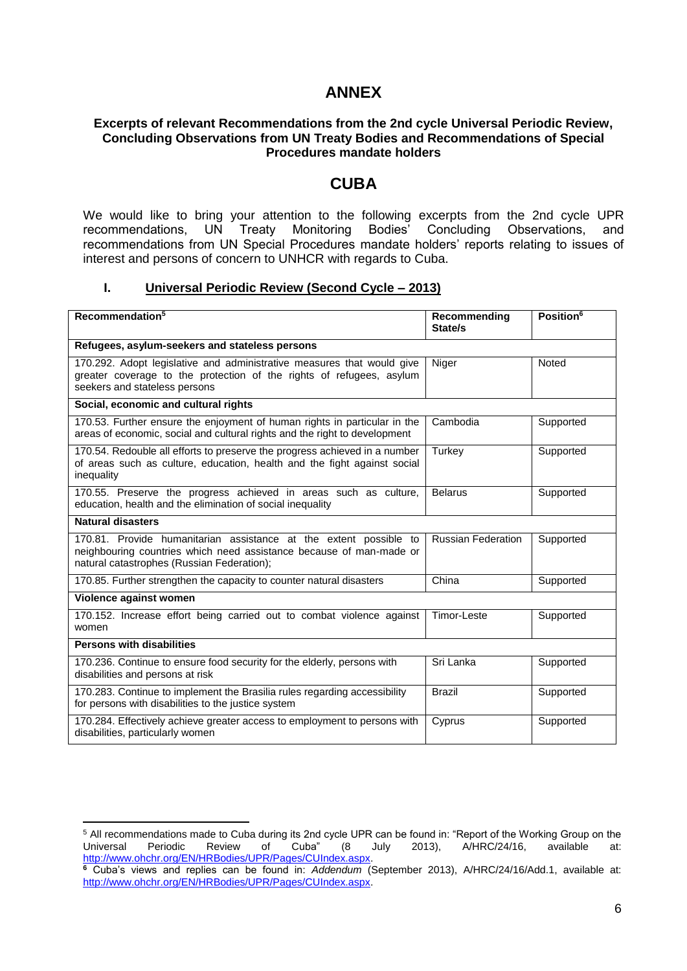# **ANNEX**

#### **Excerpts of relevant Recommendations from the 2nd cycle Universal Periodic Review, Concluding Observations from UN Treaty Bodies and Recommendations of Special Procedures mandate holders**

# **CUBA**

We would like to bring your attention to the following excerpts from the 2nd cycle UPR recommendations, UN Treaty Monitoring Bodies' Concluding Observations, and recommendations from UN Special Procedures mandate holders' reports relating to issues of interest and persons of concern to UNHCR with regards to Cuba.

### **I. Universal Periodic Review (Second Cycle – 2013)**

| Recommendation <sup>5</sup>                                                                                                                                                            | Recommending<br>State/s   | Position <sup>6</sup> |
|----------------------------------------------------------------------------------------------------------------------------------------------------------------------------------------|---------------------------|-----------------------|
| Refugees, asylum-seekers and stateless persons                                                                                                                                         |                           |                       |
| 170.292. Adopt legislative and administrative measures that would give<br>greater coverage to the protection of the rights of refugees, asylum<br>seekers and stateless persons        | Niger                     | Noted                 |
| Social, economic and cultural rights                                                                                                                                                   |                           |                       |
| 170.53. Further ensure the enjoyment of human rights in particular in the<br>areas of economic, social and cultural rights and the right to development                                | Cambodia                  | Supported             |
| 170.54. Redouble all efforts to preserve the progress achieved in a number<br>of areas such as culture, education, health and the fight against social<br>inequality                   | Turkey                    | Supported             |
| 170.55. Preserve the progress achieved in areas such as culture,<br>education, health and the elimination of social inequality                                                         | <b>Belarus</b>            | Supported             |
| <b>Natural disasters</b>                                                                                                                                                               |                           |                       |
| 170.81. Provide humanitarian assistance at the extent possible to<br>neighbouring countries which need assistance because of man-made or<br>natural catastrophes (Russian Federation); | <b>Russian Federation</b> | Supported             |
| 170.85. Further strengthen the capacity to counter natural disasters                                                                                                                   | China                     | Supported             |
| Violence against women                                                                                                                                                                 |                           |                       |
| 170.152. Increase effort being carried out to combat violence against<br>women                                                                                                         | Timor-Leste               | Supported             |
| <b>Persons with disabilities</b>                                                                                                                                                       |                           |                       |
| 170.236. Continue to ensure food security for the elderly, persons with<br>disabilities and persons at risk                                                                            | Sri Lanka                 | Supported             |
| 170.283. Continue to implement the Brasilia rules regarding accessibility<br>for persons with disabilities to the justice system                                                       | <b>Brazil</b>             | Supported             |
| 170.284. Effectively achieve greater access to employment to persons with<br>disabilities, particularly women                                                                          | Cyprus                    | Supported             |

**<sup>.</sup>** <sup>5</sup> All recommendations made to Cuba during its 2nd cycle UPR can be found in: "Report of the Working Group on the Universal Periodic Review of Cuba" (8 July 2013), A/HRC/24/16, available at: Universal Periodic Review of Cuba" (8 July 2013), A/HRC/24/16, available at: [http://www.ohchr.org/EN/HRBodies/UPR/Pages/CUIndex.aspx.](http://www.ohchr.org/EN/HRBodies/UPR/Pages/CUIndex.aspx)

**<sup>6</sup>** Cuba's views and replies can be found in: *Addendum* (September 2013), A/HRC/24/16/Add.1, available at: [http://www.ohchr.org/EN/HRBodies/UPR/Pages/CUIndex.aspx.](http://www.ohchr.org/EN/HRBodies/UPR/Pages/CUIndex.aspx)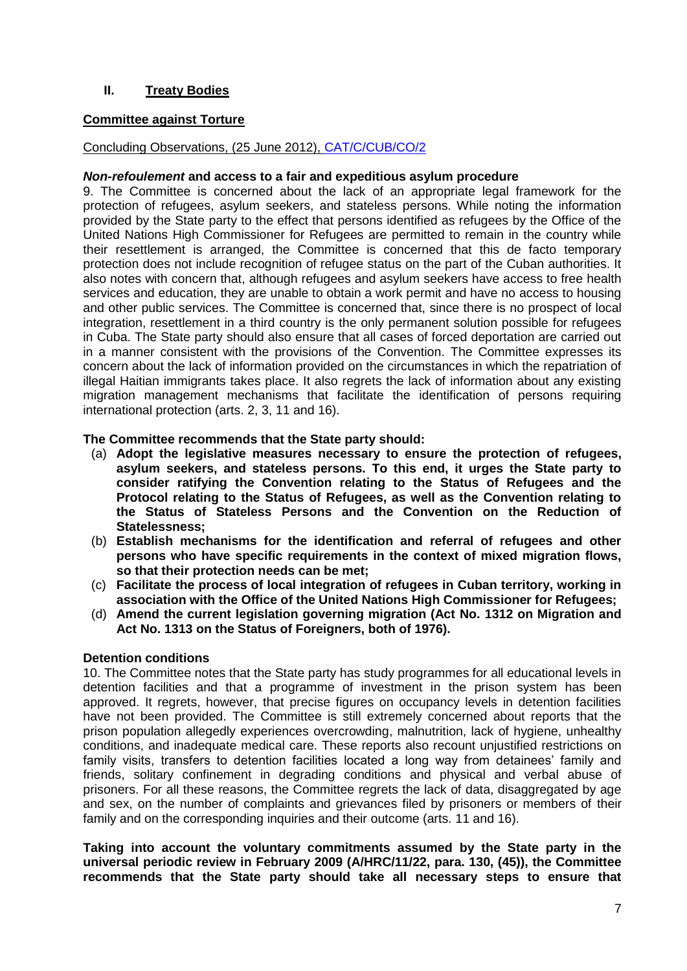## **II. Treaty Bodies**

## **Committee against Torture**

## Concluding Observations, (25 June 2012), [CAT/C/CUB/CO/2](http://tbinternet.ohchr.org/_layouts/treatybodyexternal/Download.aspx?symbolno=CAT%2fC%2fCUB%2fCO%2f2&Lang=en)

### *Non-refoulement* **and access to a fair and expeditious asylum procedure**

9. The Committee is concerned about the lack of an appropriate legal framework for the protection of refugees, asylum seekers, and stateless persons. While noting the information provided by the State party to the effect that persons identified as refugees by the Office of the United Nations High Commissioner for Refugees are permitted to remain in the country while their resettlement is arranged, the Committee is concerned that this de facto temporary protection does not include recognition of refugee status on the part of the Cuban authorities. It also notes with concern that, although refugees and asylum seekers have access to free health services and education, they are unable to obtain a work permit and have no access to housing and other public services. The Committee is concerned that, since there is no prospect of local integration, resettlement in a third country is the only permanent solution possible for refugees in Cuba. The State party should also ensure that all cases of forced deportation are carried out in a manner consistent with the provisions of the Convention. The Committee expresses its concern about the lack of information provided on the circumstances in which the repatriation of illegal Haitian immigrants takes place. It also regrets the lack of information about any existing migration management mechanisms that facilitate the identification of persons requiring international protection (arts. 2, 3, 11 and 16).

### **The Committee recommends that the State party should:**

- (a) **Adopt the legislative measures necessary to ensure the protection of refugees, asylum seekers, and stateless persons. To this end, it urges the State party to consider ratifying the Convention relating to the Status of Refugees and the Protocol relating to the Status of Refugees, as well as the Convention relating to the Status of Stateless Persons and the Convention on the Reduction of Statelessness;**
- (b) **Establish mechanisms for the identification and referral of refugees and other persons who have specific requirements in the context of mixed migration flows, so that their protection needs can be met;**
- (c) **Facilitate the process of local integration of refugees in Cuban territory, working in association with the Office of the United Nations High Commissioner for Refugees;**
- (d) **Amend the current legislation governing migration (Act No. 1312 on Migration and Act No. 1313 on the Status of Foreigners, both of 1976).**

## **Detention conditions**

10. The Committee notes that the State party has study programmes for all educational levels in detention facilities and that a programme of investment in the prison system has been approved. It regrets, however, that precise figures on occupancy levels in detention facilities have not been provided. The Committee is still extremely concerned about reports that the prison population allegedly experiences overcrowding, malnutrition, lack of hygiene, unhealthy conditions, and inadequate medical care. These reports also recount unjustified restrictions on family visits, transfers to detention facilities located a long way from detainees' family and friends, solitary confinement in degrading conditions and physical and verbal abuse of prisoners. For all these reasons, the Committee regrets the lack of data, disaggregated by age and sex, on the number of complaints and grievances filed by prisoners or members of their family and on the corresponding inquiries and their outcome (arts. 11 and 16).

**Taking into account the voluntary commitments assumed by the State party in the universal periodic review in February 2009 (A/HRC/11/22, para. 130, (45)), the Committee recommends that the State party should take all necessary steps to ensure that**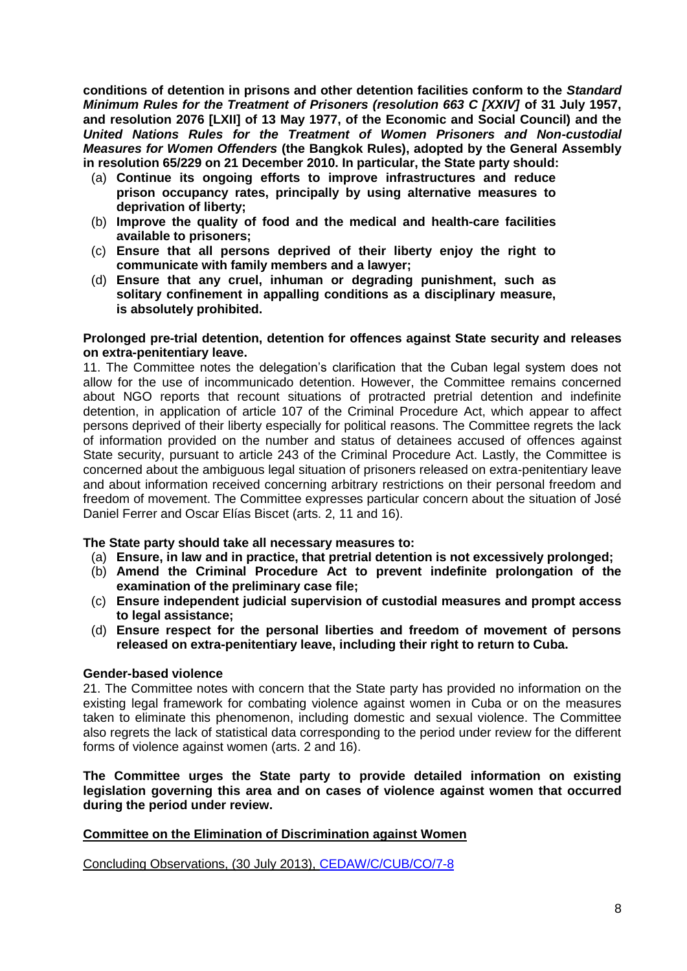**conditions of detention in prisons and other detention facilities conform to the** *Standard Minimum Rules for the Treatment of Prisoners (resolution 663 C [XXIV]* **of 31 July 1957, and resolution 2076 [LXII] of 13 May 1977, of the Economic and Social Council) and the**  *United Nations Rules for the Treatment of Women Prisoners and Non-custodial Measures for Women Offenders* **(the Bangkok Rules), adopted by the General Assembly in resolution 65/229 on 21 December 2010. In particular, the State party should:**

- (a) **Continue its ongoing efforts to improve infrastructures and reduce prison occupancy rates, principally by using alternative measures to deprivation of liberty;**
- (b) **Improve the quality of food and the medical and health-care facilities available to prisoners;**
- (c) **Ensure that all persons deprived of their liberty enjoy the right to communicate with family members and a lawyer;**
- (d) **Ensure that any cruel, inhuman or degrading punishment, such as solitary confinement in appalling conditions as a disciplinary measure, is absolutely prohibited.**

#### **Prolonged pre-trial detention, detention for offences against State security and releases on extra-penitentiary leave.**

11. The Committee notes the delegation's clarification that the Cuban legal system does not allow for the use of incommunicado detention. However, the Committee remains concerned about NGO reports that recount situations of protracted pretrial detention and indefinite detention, in application of article 107 of the Criminal Procedure Act, which appear to affect persons deprived of their liberty especially for political reasons. The Committee regrets the lack of information provided on the number and status of detainees accused of offences against State security, pursuant to article 243 of the Criminal Procedure Act. Lastly, the Committee is concerned about the ambiguous legal situation of prisoners released on extra-penitentiary leave and about information received concerning arbitrary restrictions on their personal freedom and freedom of movement. The Committee expresses particular concern about the situation of José Daniel Ferrer and Oscar Elías Biscet (arts. 2, 11 and 16).

## **The State party should take all necessary measures to:**

- (a) **Ensure, in law and in practice, that pretrial detention is not excessively prolonged;**
- (b) **Amend the Criminal Procedure Act to prevent indefinite prolongation of the examination of the preliminary case file;**
- (c) **Ensure independent judicial supervision of custodial measures and prompt access to legal assistance;**
- (d) **Ensure respect for the personal liberties and freedom of movement of persons released on extra-penitentiary leave, including their right to return to Cuba.**

## **Gender-based violence**

21. The Committee notes with concern that the State party has provided no information on the existing legal framework for combating violence against women in Cuba or on the measures taken to eliminate this phenomenon, including domestic and sexual violence. The Committee also regrets the lack of statistical data corresponding to the period under review for the different forms of violence against women (arts. 2 and 16).

**The Committee urges the State party to provide detailed information on existing legislation governing this area and on cases of violence against women that occurred during the period under review.**

## **Committee on the Elimination of Discrimination against Women**

Concluding Observations, (30 July 2013), [CEDAW/C/CUB/CO/7-8](http://tbinternet.ohchr.org/_layouts/treatybodyexternal/Download.aspx?symbolno=CEDAW%2fC%2fCUB%2fCO%2f7-8&Lang=en)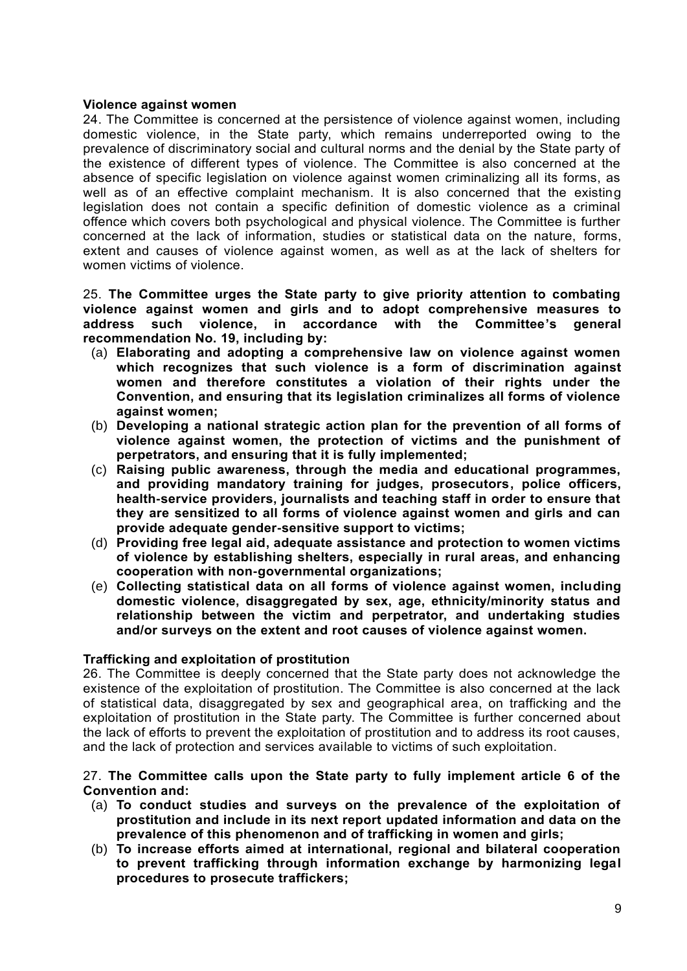### **Violence against women**

24. The Committee is concerned at the persistence of violence against women, including domestic violence, in the State party, which remains underreported owing to the prevalence of discriminatory social and cultural norms and the denial by the State party of the existence of different types of violence. The Committee is also concerned at the absence of specific legislation on violence against women criminalizing all its forms, as well as of an effective complaint mechanism. It is also concerned that the existing legislation does not contain a specific definition of domestic violence as a criminal offence which covers both psychological and physical violence. The Committee is further concerned at the lack of information, studies or statistical data on the nature, forms, extent and causes of violence against women, as well as at the lack of shelters for women victims of violence.

25. **The Committee urges the State party to give priority attention to combating violence against women and girls and to adopt comprehensive measures to address such violence, in accordance with the Committee's general recommendation No. 19, including by:**

- (a) **Elaborating and adopting a comprehensive law on violence against women which recognizes that such violence is a form of discrimination against women and therefore constitutes a violation of their rights under the Convention, and ensuring that its legislation criminalizes all forms of violence against women;**
- (b) **Developing a national strategic action plan for the prevention of all forms of violence against women, the protection of victims and the punishment of perpetrators, and ensuring that it is fully implemented;**
- (c) **Raising public awareness, through the media and educational programmes, and providing mandatory training for judges, prosecutors, police officers, health-service providers, journalists and teaching staff in order to ensure that they are sensitized to all forms of violence against women and girls and can provide adequate gender-sensitive support to victims;**
- (d) **Providing free legal aid, adequate assistance and protection to women victims of violence by establishing shelters, especially in rural areas, and enhancing cooperation with non-governmental organizations;**
- (e) **Collecting statistical data on all forms of violence against women, including domestic violence, disaggregated by sex, age, ethnicity/minority status and relationship between the victim and perpetrator, and undertaking studies and/or surveys on the extent and root causes of violence against women.**

## **Trafficking and exploitation of prostitution**

26. The Committee is deeply concerned that the State party does not acknowledge the existence of the exploitation of prostitution. The Committee is also concerned at the lack of statistical data, disaggregated by sex and geographical area, on trafficking and the exploitation of prostitution in the State party. The Committee is further concerned about the lack of efforts to prevent the exploitation of prostitution and to address its root causes, and the lack of protection and services available to victims of such exploitation.

### 27. **The Committee calls upon the State party to fully implement article 6 of the Convention and:**

- (a) **To conduct studies and surveys on the prevalence of the exploitation of prostitution and include in its next report updated information and data on the prevalence of this phenomenon and of trafficking in women and girls;**
- (b) **To increase efforts aimed at international, regional and bilateral cooperation to prevent trafficking through information exchange by harmonizing legal procedures to prosecute traffickers;**